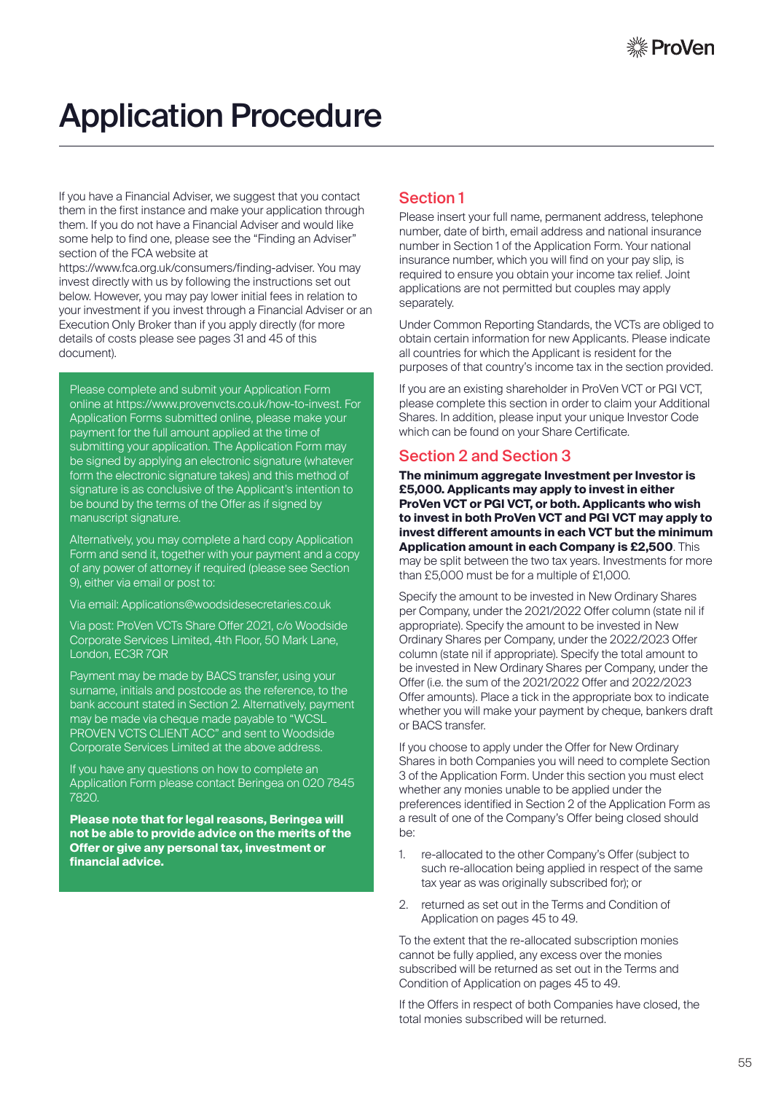# Application Procedure

If you have a Financial Adviser, we suggest that you contact them in the first instance and make your application through them. If you do not have a Financial Adviser and would like some help to find one, please see the "Finding an Adviser" section of the FCA website at

https://www.fca.org.uk/consumers/finding-adviser. You may invest directly with us by following the instructions set out below. However, you may pay lower initial fees in relation to your investment if you invest through a Financial Adviser or an Execution Only Broker than if you apply directly (for more details of costs please see pages 31 and 45 of this document).

Please complete and submit your Application Form online at https://www.provenvcts.co.uk/how-to-invest. For Application Forms submitted online, please make your payment for the full amount applied at the time of submitting your application. The Application Form may be signed by applying an electronic signature (whatever form the electronic signature takes) and this method of signature is as conclusive of the Applicant's intention to be bound by the terms of the Offer as if signed by manuscript signature.

Alternatively, you may complete a hard copy Application Form and send it, together with your payment and a copy of any power of attorney if required (please see Section 9), either via email or post to:

Via email: Applications@woodsidesecretaries.co.uk

Via post: ProVen VCTs Share Offer 2021, c/o Woodside Corporate Services Limited, 4th Floor, 50 Mark Lane, London, EC3R 7QR

Payment may be made by BACS transfer, using your surname, initials and postcode as the reference, to the bank account stated in Section 2. Alternatively, payment may be made via cheque made payable to "WCSL PROVEN VCTS CLIENT ACC" and sent to Woodside Corporate Services Limited at the above address.

If you have any questions on how to complete an Application Form please contact Beringea on 020 7845 7820.

**Please note that for legal reasons, Beringea will not be able to provide advice on the merits of the Offer or give any personal tax, investment or financial advice.**

## Section 1

Please insert your full name, permanent address, telephone number, date of birth, email address and national insurance number in Section 1 of the Application Form. Your national insurance number, which you will find on your pay slip, is required to ensure you obtain your income tax relief. Joint applications are not permitted but couples may apply separately.

Under Common Reporting Standards, the VCTs are obliged to obtain certain information for new Applicants. Please indicate all countries for which the Applicant is resident for the purposes of that country's income tax in the section provided.

If you are an existing shareholder in ProVen VCT or PGI VCT, please complete this section in order to claim your Additional Shares. In addition, please input your unique Investor Code which can be found on your Share Certificate.

### Section 2 and Section 3

**The minimum aggregate Investment per Investor is £5,000. Applicants may apply to invest in either ProVen VCT or PGI VCT, or both. Applicants who wish to invest in both ProVen VCT and PGI VCT may apply to invest different amounts in each VCT but the minimum Application amount in each Company is £2,500**. This may be split between the two tax years. Investments for more than £5,000 must be for a multiple of £1,000.

Specify the amount to be invested in New Ordinary Shares per Company, under the 2021/2022 Offer column (state nil if appropriate). Specify the amount to be invested in New Ordinary Shares per Company, under the 2022/2023 Offer column (state nil if appropriate). Specify the total amount to be invested in New Ordinary Shares per Company, under the Offer (i.e. the sum of the 2021/2022 Offer and 2022/2023 Offer amounts). Place a tick in the appropriate box to indicate whether you will make your payment by cheque, bankers draft or BACS transfer.

If you choose to apply under the Offer for New Ordinary Shares in both Companies you will need to complete Section 3 of the Application Form. Under this section you must elect whether any monies unable to be applied under the preferences identified in Section 2 of the Application Form as a result of one of the Company's Offer being closed should be:

- 1. re-allocated to the other Company's Offer (subject to such re-allocation being applied in respect of the same tax year as was originally subscribed for); or
- 2. returned as set out in the Terms and Condition of Application on pages 45 to 49.

To the extent that the re-allocated subscription monies cannot be fully applied, any excess over the monies subscribed will be returned as set out in the Terms and Condition of Application on pages 45 to 49.

If the Offers in respect of both Companies have closed, the total monies subscribed will be returned.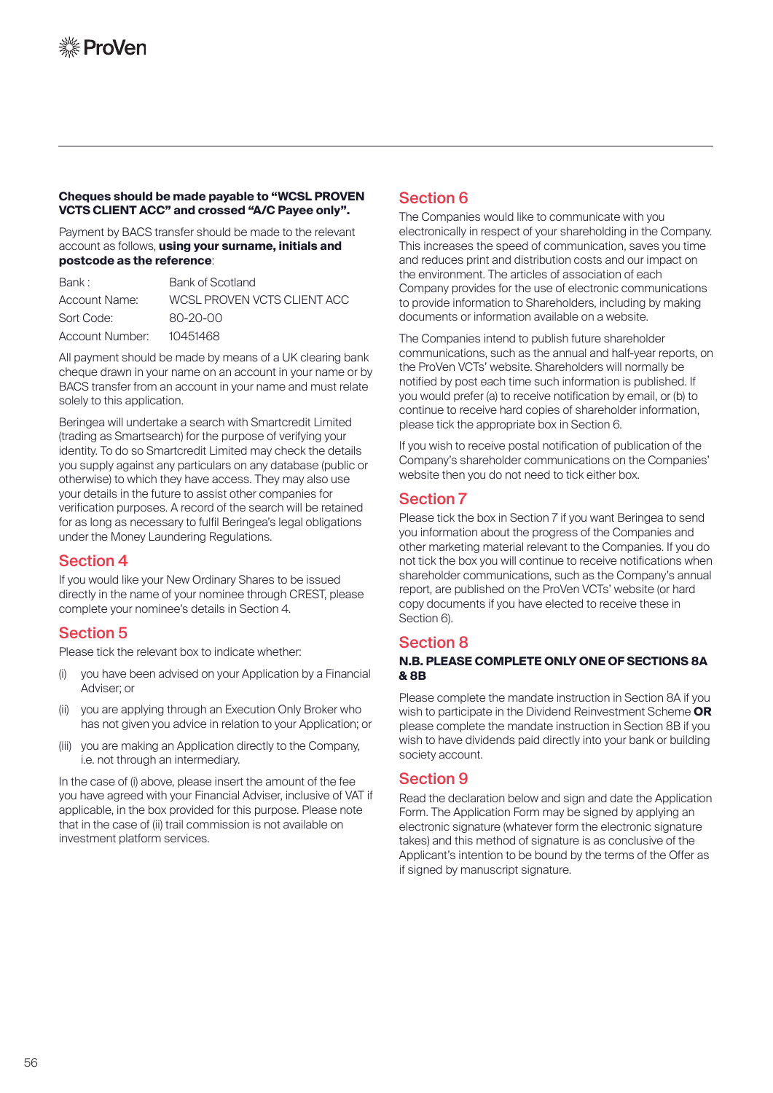#### **Cheques should be made payable to "WCSL PROVEN VCTS CLIENT ACC" and crossed "A/C Payee only".**

Payment by BACS transfer should be made to the relevant account as follows, **using your surname, initials and postcode as the reference**:

| Bank:           | Bank of Scotland            |
|-----------------|-----------------------------|
| Account Name:   | WCSL PROVEN VCTS CLIENT ACC |
| Sort Code:      | 80-20-00                    |
| Account Number: | 10451468                    |

All payment should be made by means of a UK clearing bank cheque drawn in your name on an account in your name or by BACS transfer from an account in your name and must relate solely to this application.

Beringea will undertake a search with Smartcredit Limited (trading as Smartsearch) for the purpose of verifying your identity. To do so Smartcredit Limited may check the details you supply against any particulars on any database (public or otherwise) to which they have access. They may also use your details in the future to assist other companies for verification purposes. A record of the search will be retained for as long as necessary to fulfil Beringea's legal obligations under the Money Laundering Regulations.

### Section 4

If you would like your New Ordinary Shares to be issued directly in the name of your nominee through CREST, please complete your nominee's details in Section 4.

## Section 5

Please tick the relevant box to indicate whether:

- (i) you have been advised on your Application by a Financial Adviser; or
- (ii) you are applying through an Execution Only Broker who has not given you advice in relation to your Application; or
- (iii) you are making an Application directly to the Company, i.e. not through an intermediary.

In the case of (i) above, please insert the amount of the fee you have agreed with your Financial Adviser, inclusive of VAT if applicable, in the box provided for this purpose. Please note that in the case of (ii) trail commission is not available on investment platform services.

# Section 6

The Companies would like to communicate with you electronically in respect of your shareholding in the Company. This increases the speed of communication, saves you time and reduces print and distribution costs and our impact on the environment. The articles of association of each Company provides for the use of electronic communications to provide information to Shareholders, including by making documents or information available on a website.

The Companies intend to publish future shareholder communications, such as the annual and half-year reports, on the ProVen VCTs' website. Shareholders will normally be notified by post each time such information is published. If you would prefer (a) to receive notification by email, or (b) to continue to receive hard copies of shareholder information, please tick the appropriate box in Section 6.

If you wish to receive postal notification of publication of the Company's shareholder communications on the Companies' website then you do not need to tick either box.

## Section 7

Please tick the box in Section 7 if you want Beringea to send you information about the progress of the Companies and other marketing material relevant to the Companies. If you do not tick the box you will continue to receive notifications when shareholder communications, such as the Company's annual report, are published on the ProVen VCTs' website (or hard copy documents if you have elected to receive these in Section 6).

#### Section 8

#### **N.B. PLEASE COMPLETE ONLY ONE OF SECTIONS 8A & 8B**

Please complete the mandate instruction in Section 8A if you wish to participate in the Dividend Reinvestment Scheme **OR** please complete the mandate instruction in Section 8B if you wish to have dividends paid directly into your bank or building society account.

#### Section 9

Read the declaration below and sign and date the Application Form. The Application Form may be signed by applying an electronic signature (whatever form the electronic signature takes) and this method of signature is as conclusive of the Applicant's intention to be bound by the terms of the Offer as if signed by manuscript signature.